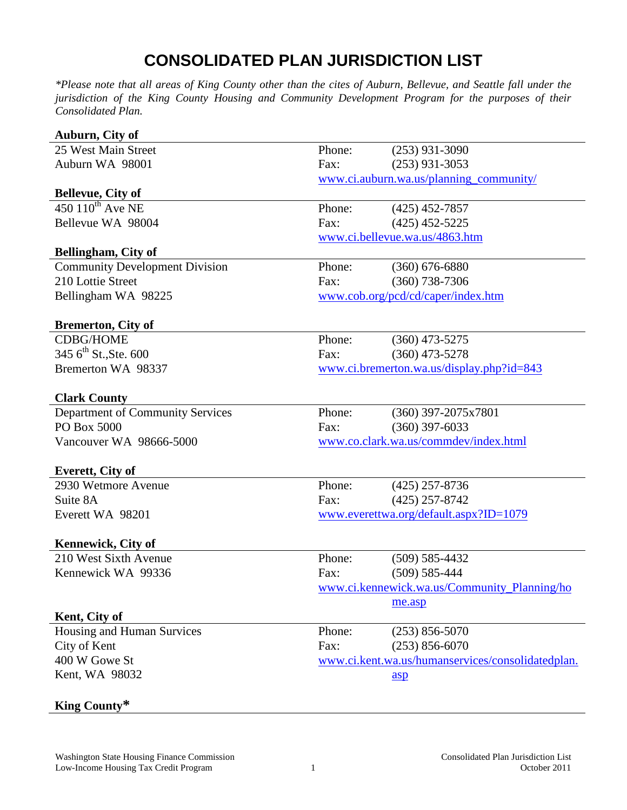## **CONSOLIDATED PLAN JURISDICTION LIST**

*\*Please note that all areas of King County other than the cites of Auburn, Bellevue, and Seattle fall under the jurisdiction of the King County Housing and Community Development Program for the purposes of their Consolidated Plan.* 

| Auburn, City of                       |                                                   |                                              |  |
|---------------------------------------|---------------------------------------------------|----------------------------------------------|--|
| 25 West Main Street                   | Phone:                                            | $(253)$ 931-3090                             |  |
| Auburn WA 98001                       | Fax:                                              | $(253)$ 931-3053                             |  |
|                                       | www.ci.auburn.wa.us/planning_community/           |                                              |  |
| <b>Bellevue, City of</b>              |                                                   |                                              |  |
| $450110^{th}$ Ave NE                  | Phone:                                            | $(425)$ 452-7857                             |  |
| Bellevue WA 98004                     | Fax:                                              | $(425)$ 452-5225                             |  |
|                                       | www.ci.bellevue.wa.us/4863.htm                    |                                              |  |
| Bellingham, City of                   |                                                   |                                              |  |
| <b>Community Development Division</b> | Phone:                                            | $(360) 676 - 6880$                           |  |
| 210 Lottie Street                     | Fax:                                              | $(360)$ 738-7306                             |  |
| Bellingham WA 98225                   | www.cob.org/pcd/cd/caper/index.htm                |                                              |  |
| <b>Bremerton, City of</b>             |                                                   |                                              |  |
| <b>CDBG/HOME</b>                      | Phone:                                            | $(360)$ 473-5275                             |  |
| 345 $6^{\text{th}}$ St., Ste. 600     | Fax:                                              | $(360)$ 473-5278                             |  |
| Bremerton WA 98337                    | www.ci.bremerton.wa.us/display.php?id=843         |                                              |  |
| <b>Clark County</b>                   |                                                   |                                              |  |
| Department of Community Services      | Phone:                                            | $(360)$ 397-2075x7801                        |  |
| PO Box 5000                           | Fax:                                              | $(360)$ 397-6033                             |  |
| Vancouver WA 98666-5000               | www.co.clark.wa.us/commdev/index.html             |                                              |  |
| Everett, City of                      |                                                   |                                              |  |
| 2930 Wetmore Avenue                   | Phone:                                            | $(425)$ 257-8736                             |  |
| Suite 8A                              | Fax:                                              | $(425)$ 257-8742                             |  |
| Everett WA 98201                      | www.everettwa.org/default.aspx?ID=1079            |                                              |  |
| Kennewick, City of                    |                                                   |                                              |  |
| 210 West Sixth Avenue                 | Phone:                                            | $(509) 585 - 4432$                           |  |
| Kennewick WA 99336                    | Fax:                                              | $(509) 585 - 444$                            |  |
|                                       |                                                   | www.ci.kennewick.wa.us/Community_Planning/ho |  |
|                                       |                                                   | me.asp                                       |  |
| Kent, City of                         |                                                   |                                              |  |
| Housing and Human Survices            | Phone:                                            | $(253) 856 - 5070$                           |  |
| City of Kent                          | Fax:                                              | $(253) 856 - 6070$                           |  |
| 400 W Gowe St                         | www.ci.kent.wa.us/humanservices/consolidatedplan. |                                              |  |
| Kent, WA 98032                        |                                                   | asp                                          |  |
|                                       |                                                   |                                              |  |

## **King County\***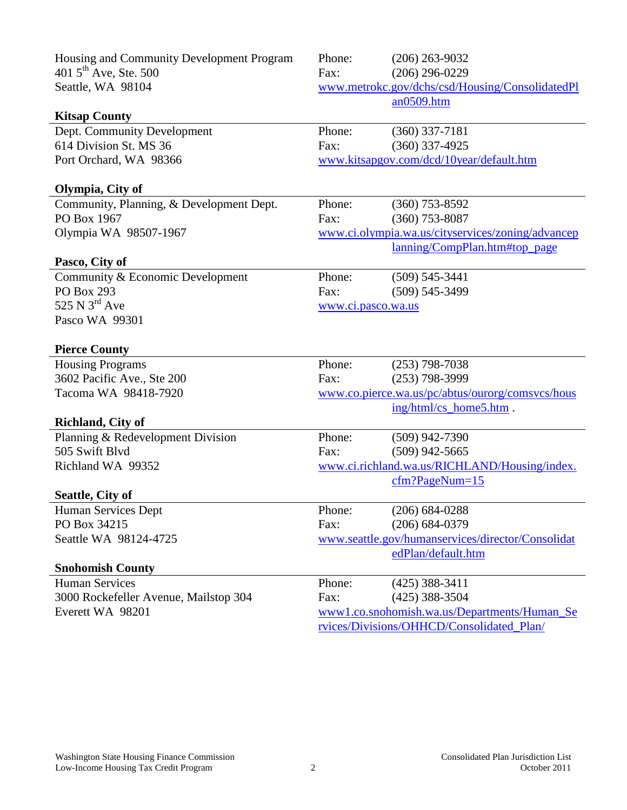| Housing and Community Development Program | Phone:                                            | $(206)$ 263-9032                                                                          |
|-------------------------------------------|---------------------------------------------------|-------------------------------------------------------------------------------------------|
| 401 $5^{\text{th}}$ Ave, Ste. 500         | Fax:                                              | $(206)$ 296-0229                                                                          |
| Seattle, WA 98104                         |                                                   | www.metrokc.gov/dchs/csd/Housing/ConsolidatedPl                                           |
|                                           |                                                   | an0509.htm                                                                                |
| <b>Kitsap County</b>                      |                                                   |                                                                                           |
| Dept. Community Development               | Phone:                                            | $(360)$ 337-7181                                                                          |
| 614 Division St. MS 36                    | Fax:                                              | $(360)$ 337-4925                                                                          |
| Port Orchard, WA 98366                    | www.kitsapgov.com/dcd/10year/default.htm          |                                                                                           |
|                                           |                                                   |                                                                                           |
| Olympia, City of                          |                                                   |                                                                                           |
| Community, Planning, & Development Dept.  | Phone:                                            | $(360)$ 753-8592                                                                          |
| PO Box 1967                               | Fax:                                              | $(360)$ 753-8087                                                                          |
| Olympia WA 98507-1967                     | www.ci.olympia.wa.us/cityservices/zoning/advancep |                                                                                           |
|                                           |                                                   | lanning/CompPlan.htm#top_page                                                             |
| Pasco, City of                            |                                                   |                                                                                           |
| Community & Economic Development          | Phone:                                            | $(509)$ 545-3441                                                                          |
| <b>PO Box 293</b>                         | Fax:                                              | $(509)$ 545-3499                                                                          |
| 525 N $3^{\text{rd}}$ Ave                 | www.ci.pasco.wa.us                                |                                                                                           |
| Pasco WA 99301                            |                                                   |                                                                                           |
|                                           |                                                   |                                                                                           |
|                                           |                                                   |                                                                                           |
| <b>Pierce County</b>                      |                                                   |                                                                                           |
| <b>Housing Programs</b>                   | Phone:                                            | $(253)$ 798-7038                                                                          |
| 3602 Pacific Ave., Ste 200                | Fax:                                              | $(253)$ 798-3999                                                                          |
| Tacoma WA 98418-7920                      |                                                   | www.co.pierce.wa.us/pc/abtus/ourorg/comsvcs/hous                                          |
|                                           |                                                   | ing/html/cs_home5.htm.                                                                    |
| <b>Richland, City of</b>                  |                                                   |                                                                                           |
| Planning & Redevelopment Division         | Phone:                                            | $(509)$ 942-7390                                                                          |
| 505 Swift Blvd                            | Fax:                                              | $(509)$ 942-5665                                                                          |
| Richland WA 99352                         |                                                   | www.ci.richland.wa.us/RICHLAND/Housing/index.                                             |
|                                           |                                                   | $cfm?PageNum=15$                                                                          |
| Seattle, City of                          |                                                   |                                                                                           |
| Human Services Dept                       | Phone:                                            | $(206) 684 - 0288$                                                                        |
| PO Box 34215                              | Fax:                                              | $(206) 684 - 0379$                                                                        |
| Seattle WA 98124-4725                     |                                                   | www.seattle.gov/humanservices/director/Consolidat                                         |
|                                           |                                                   | edPlan/default.htm                                                                        |
| <b>Snohomish County</b>                   |                                                   |                                                                                           |
| <b>Human Services</b>                     | Phone:                                            | $(425)$ 388-3411                                                                          |
| 3000 Rockefeller Avenue, Mailstop 304     | Fax:                                              | $(425)$ 388-3504                                                                          |
| Everett WA 98201                          |                                                   | www1.co.snohomish.wa.us/Departments/Human_Se<br>rvices/Divisions/OHHCD/Consolidated Plan/ |